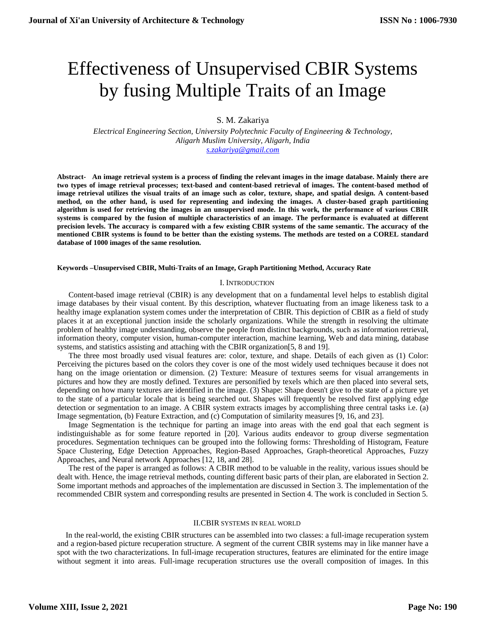# Effectiveness of Unsupervised CBIR Systems by fusing Multiple Traits of an Image

S. M. Zakariya

*Electrical Engineering Section, University Polytechnic Faculty of Engineering & Technology, Aligarh Muslim University, Aligarh, India [s.zakariya@gmail.com](mailto:s.zakariya@gmail.com)*

**Abstract- An image retrieval system is a process of finding the relevant images in the image database. Mainly there are two types of image retrieval processes; text-based and content-based retrieval of images. The content-based method of image retrieval utilizes the visual traits of an image such as color, texture, shape, and spatial design. A content-based method, on the other hand, is used for representing and indexing the images. A cluster-based graph partitioning algorithm is used for retrieving the images in an unsupervised mode. In this work, the performance of various CBIR systems is compared by the fusion of multiple characteristics of an image. The performance is evaluated at different precision levels. The accuracy is compared with a few existing CBIR systems of the same semantic. The accuracy of the mentioned CBIR systems is found to be better than the existing systems. The methods are tested on a COREL standard database of 1000 images of the same resolution.**

### **Keywords –Unsupervised CBIR, Multi-Traits of an Image, Graph Partitioning Method, Accuracy Rate**

## I. INTRODUCTION

Content-based image retrieval (CBIR) is any development that on a fundamental level helps to establish digital image databases by their visual content. By this description, whatever fluctuating from an image likeness task to a healthy image explanation system comes under the interpretation of CBIR. This depiction of CBIR as a field of study places it at an exceptional junction inside the scholarly organizations. While the strength in resolving the ultimate problem of healthy image understanding, observe the people from distinct backgrounds, such as information retrieval, information theory, computer vision, human-computer interaction, machine learning, Web and data mining, database systems, and statistics assisting and attaching with the CBIR organization[5, 8 and 19].

The three most broadly used visual features are: color, texture, and shape. Details of each given as (1) Color: Perceiving the pictures based on the colors they cover is one of the most widely used techniques because it does not hang on the image orientation or dimension. (2) Texture: Measure of textures seems for visual arrangements in pictures and how they are mostly defined. Textures are personified by texels which are then placed into several sets, depending on how many textures are identified in the image. (3) Shape: Shape doesn't give to the state of a picture yet to the state of a particular locale that is being searched out. Shapes will frequently be resolved first applying edge detection or segmentation to an image. A CBIR system extracts images by accomplishing three central tasks i.e. (a) Image segmentation, (b) Feature Extraction, and (c) Computation of similarity measures [9, 16, and 23].

Image Segmentation is the technique for parting an image into areas with the end goal that each segment is indistinguishable as for some feature reported in [20]. Various audits endeavor to group diverse segmentation procedures. Segmentation techniques can be grouped into the following forms: Thresholding of Histogram, Feature Space Clustering, Edge Detection Approaches, Region-Based Approaches, Graph-theoretical Approaches, Fuzzy Approaches, and Neural network Approaches [12, 18, and 28].

The rest of the paper is arranged as follows: A CBIR method to be valuable in the reality, various issues should be dealt with. Hence, the image retrieval methods, counting different basic parts of their plan, are elaborated in Section 2. Some important methods and approaches of the implementation are discussed in Section 3. The implementation of the recommended CBIR system and corresponding results are presented in Section 4. The work is concluded in Section 5.

### II.CBIR SYSTEMS IN REAL WORLD

In the real-world, the existing CBIR structures can be assembled into two classes: a full-image recuperation system and a region-based picture recuperation structure. A segment of the current CBIR systems may in like manner have a spot with the two characterizations. In full-image recuperation structures, features are eliminated for the entire image without segment it into areas. Full-image recuperation structures use the overall composition of images. In this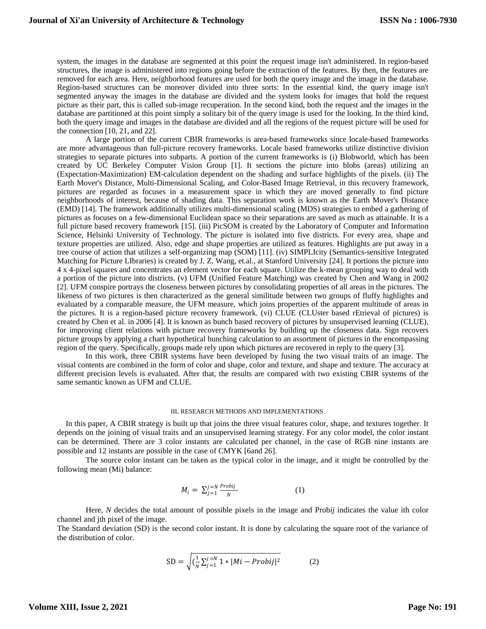system, the images in the database are segmented at this point the request image isn't administered. In region-based structures, the image is administered into regions going before the extraction of the features. By then, the features are removed for each area. Here, neighborhood features are used for both the query image and the image in the database. Region-based structures can be moreover divided into three sorts: In the essential kind, the query image isn't segmented anyway the images in the database are divided and the system looks for images that hold the request picture as their part, this is called sub-image recuperation. In the second kind, both the request and the images in the database are partitioned at this point simply a solitary bit of the query image is used for the looking. In the third kind, both the query image and images in the database are divided and all the regions of the request picture will be used for the connection  $[10, 21,$  and  $22]$ .

A large portion of the current CBIR frameworks is area-based frameworks since locale-based frameworks are more advantageous than full-picture recovery frameworks. Locale based frameworks utilize distinctive division strategies to separate pictures into subparts. A portion of the current frameworks is (i) Blobworld, which has been created by UC Berkeley Computer Vision Group [1]. It sections the picture into blobs (areas) utilizing an (Expectation-Maximization) EM-calculation dependent on the shading and surface highlights of the pixels. (ii) The Earth Mover's Distance, Multi-Dimensional Scaling, and Color-Based Image Retrieval, in this recovery framework, pictures are regarded as focuses in a measurement space in which they are moved generally to find picture neighborhoods of interest, because of shading data. This separation work is known as the Earth Mover's Distance (EMD) [14]. The framework additionally utilizes multi-dimensional scaling (MDS) strategies to embed a gathering of pictures as focuses on a few-dimensional Euclidean space so their separations are saved as much as attainable. It is a full picture based recovery framework [15]. (iii) PicSOM is created by the Laboratory of Computer and Information Science, Helsinki University of Technology. The picture is isolated into five districts. For every area, shape and texture properties are utilized. Also, edge and shape properties are utilized as features. Highlights are put away in a tree course of action that utilizes a self-organizing map (SOM) [11]. (iv) SIMPLIcity (Semantics-sensitive Integrated Matching for Picture LIbraries) is created by J. Z. Wang, et.al., at Stanford University [24]. It portions the picture into 4 x 4-pixel squares and concentrates an element vector for each square. Utilize the k-mean grouping way to deal with a portion of the picture into districts. (v) UFM (Unified Feature Matching) was created by Chen and Wang in 2002 [2]. UFM conspire portrays the closeness between pictures by consolidating properties of all areas in the pictures. The likeness of two pictures is then characterized as the general similitude between two groups of fluffy highlights and evaluated by a comparable measure, the UFM measure, which joins properties of the apparent multitude of areas in the pictures. It is a region-based picture recovery framework. (vi) CLUE (CLUster based rEtrieval of pictures) is created by Chen et al. in 2006 [4]. It is known as bunch based recovery of pictures by unsupervised learning (CLUE), for improving client relations with picture recovery frameworks by building up the closeness data. Sign recovers picture groups by applying a chart hypothetical bunching calculation to an assortment of pictures in the encompassing region of the query. Specifically, groups made rely upon which pictures are recovered in reply to the query [3].

In this work, three CBIR systems have been developed by fusing the two visual traits of an image. The visual contents are combined in the form of color and shape, color and texture, and shape and texture. The accuracy at different precision levels is evaluated. After that, the results are compared with two existing CBIR systems of the same semantic known as UFM and CLUE.

## III. RESEARCH METHODS AND IMPLEMENTATIONS

In this paper, A CBIR strategy is built up that joins the three visual features color, shape, and textures together. It depends on the joining of visual traits and an unsupervised learning strategy. For any color model, the color instant can be determined. There are 3 color instants are calculated per channel, in the case of RGB nine instants are possible and 12 instants are possible in the case of CMYK [6and 26].

The source color instant can be taken as the typical color in the image, and it might be controlled by the following mean (Mi) balance:

$$
M_i = \sum_{j=1}^{j=N} \frac{Probij}{N} \tag{1}
$$

Here, *N* decides the total amount of possible pixels in the image and Prob*ij* indicates the value ith color channel and jth pixel of the image.

The Standard deviation (SD) is the second color instant. It is done by calculating the square root of the variance of the distribution of color.

SD = 
$$
\sqrt{(\frac{1}{N}\sum_{j=1}^{j=N} 1 * |Mi - Probij|^2}
$$
 (2)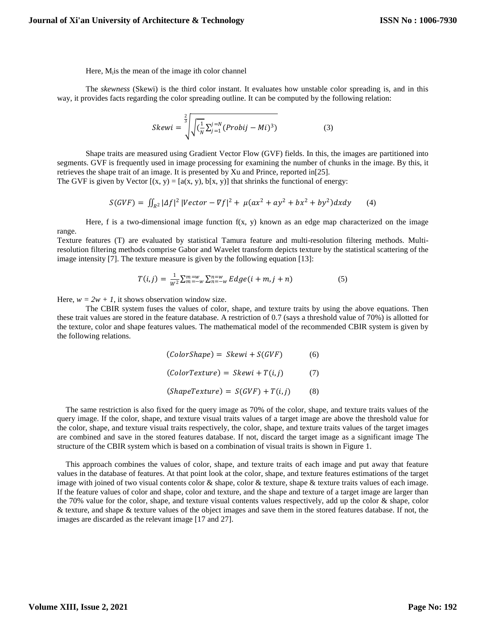Here, M<sub>i</sub> is the mean of the image ith color channel

The *skewness* (Skewi) is the third color instant. It evaluates how unstable color spreading is, and in this way, it provides facts regarding the color spreading outline. It can be computed by the following relation:

$$
Skewi = \sqrt[3]{\sqrt{(\frac{1}{N}\sum_{j=1}^{j=N} (Probij - Mi)^{3})}}
$$
(3)

Shape traits are measured using Gradient Vector Flow (GVF) fields. In this, the images are partitioned into segments. GVF is frequently used in image processing for examining the number of chunks in the image. By this, it retrieves the shape trait of an image. It is presented by Xu and Prince, reported in[25].

The GVF is given by Vector  $[(x, y) = [a(x, y), b(x, y)]$  that shrinks the functional of energy:

$$
S(GVF) = \iint_{R^2} |Af|^2 |Vector - \nabla f|^2 + \mu(ax^2 + ay^2 + bx^2 + by^2)dxdy \tag{4}
$$

Here, f is a two-dimensional image function  $f(x, y)$  known as an edge map characterized on the image range.

Texture features (T) are evaluated by statistical Tamura feature and multi-resolution filtering methods. Multiresolution filtering methods comprise Gabor and Wavelet transform depicts texture by the statistical scattering of the image intensity [7]. The texture measure is given by the following equation [13]:

$$
T(i,j) = \frac{1}{W^2} \sum_{m=-w}^{m=w} \sum_{n=-w}^{n=w} Edge(i+m, j+n)
$$
 (5)

Here,  $w = 2w + 1$ , it shows observation window size.

The CBIR system fuses the values of color, shape, and texture traits by using the above equations. Then these trait values are stored in the feature database. A restriction of 0.7 (says a threshold value of 70%) is allotted for the texture, color and shape features values. The mathematical model of the recommended CBIR system is given by the following relations.

$$
(ColorShape) = Skewi + S(GVF)
$$
 (6)  

$$
(ColorTexture) = Skewi + T(i,j)
$$
 (7)  

$$
(ShapeTexture) = S(GVF) + T(i,j)
$$
 (8)

The same restriction is also fixed for the query image as 70% of the color, shape, and texture traits values of the query image. If the color, shape, and texture visual traits values of a target image are above the threshold value for the color, shape, and texture visual traits respectively, the color, shape, and texture traits values of the target images are combined and save in the stored features database. If not, discard the target image as a significant image The structure of the CBIR system which is based on a combination of visual traits is shown in Figure 1.

This approach combines the values of color, shape, and texture traits of each image and put away that feature values in the database of features. At that point look at the color, shape, and texture features estimations of the target image with joined of two visual contents color & shape, color & texture, shape & texture traits values of each image. If the feature values of color and shape, color and texture, and the shape and texture of a target image are larger than the 70% value for the color, shape, and texture visual contents values respectively, add up the color & shape, color & texture, and shape & texture values of the object images and save them in the stored features database. If not, the images are discarded as the relevant image [17 and 27].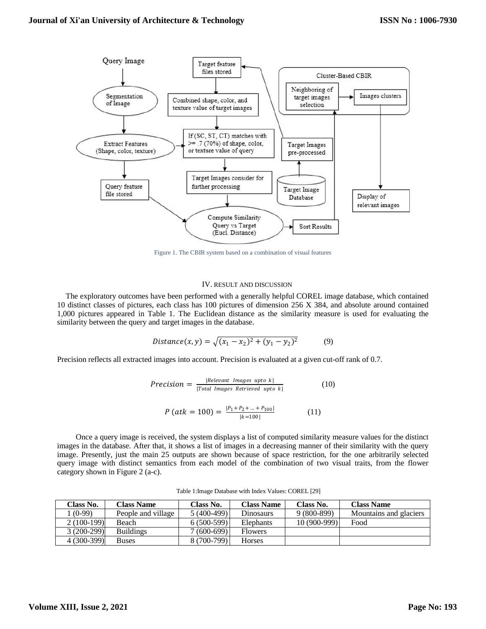

Figure 1. The CBIR system based on a combination of visual features

### IV. RESULT AND DISCUSSION

The exploratory outcomes have been performed with a generally helpful COREL image database, which contained 10 distinct classes of pictures, each class has 100 pictures of dimension 256 X 384, and absolute around contained 1,000 pictures appeared in Table 1. The Euclidean distance as the similarity measure is used for evaluating the similarity between the query and target images in the database.

$$
Distance(x, y) = \sqrt{(x_1 - x_2)^2 + (y_1 - y_2)^2}
$$
(9)

Precision reflects all extracted images into account. Precision is evaluated at a given cut-off rank of 0.7.

$$
Precision = \frac{|Relevant\ Images\ upto k|}{|Total\ Images\ Retrieved\ upto k|}
$$
 (10)

$$
P\left(atk = 100\right) = \frac{|P_1 + P_2 + \dots + P_{100}|}{|k = 100|} \tag{11}
$$

Once a query image is received, the system displays a list of computed similarity measure values for the distinct images in the database. After that, it shows a list of images in a decreasing manner of their similarity with the query image. Presently, just the main 25 outputs are shown because of space restriction, for the one arbitrarily selected query image with distinct semantics from each model of the combination of two visual traits, from the flower category shown in Figure 2 (a-c).

| Class No.    | <b>Class Name</b>  | Class No.     | <b>Class Name</b> | Class No.    | <b>Class Name</b>      |
|--------------|--------------------|---------------|-------------------|--------------|------------------------|
| $(0-99)$     | People and village | $5(400-499)$  | <b>Dinosaurs</b>  | $9(800-899)$ | Mountains and glaciers |
| $2(100-199)$ | Beach              | $6(500-599)$  | Elephants         | 10 (900-999) | Food                   |
| $3(200-299)$ | <b>Buildings</b>   | ' (600-699) l | <b>Flowers</b>    |              |                        |
| $4(300-399)$ | <b>Buses</b>       | 8 (700-799)   | <b>Horses</b>     |              |                        |

Table 1:Image Database with Index Values: COREL [29]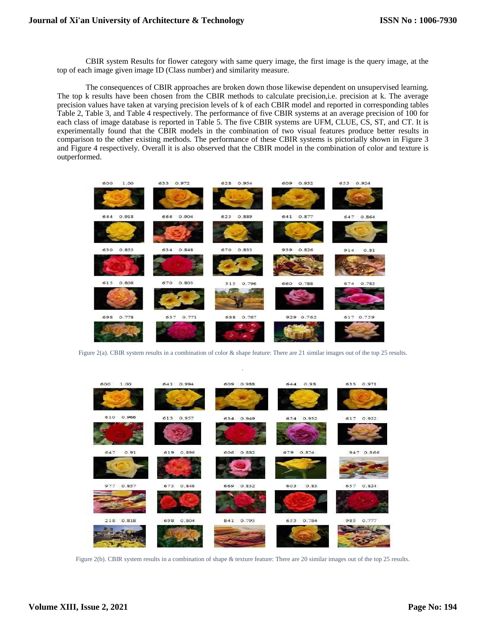CBIR system Results for flower category with same query image, the first image is the query image, at the top of each image given image ID (Class number) and similarity measure.

The consequences of CBIR approaches are broken down those likewise dependent on unsupervised learning. The top k results have been chosen from the CBIR methods to calculate precision,i.e. precision at k. The average precision values have taken at varying precision levels of k of each CBIR model and reported in corresponding tables Table 2, Table 3, and Table 4 respectively. The performance of five CBIR systems at an average precision of 100 for each class of image database is reported in Table 5. The five CBIR systems are UFM, CLUE, CS, ST, and CT. It is experimentally found that the CBIR models in the combination of two visual features produce better results in comparison to the other existing methods. The performance of these CBIR systems is pictorially shown in Figure 3 and Figure 4 respectively. Overall it is also observed that the CBIR model in the combination of color and texture is outperformed.



Figure 2(a). CBIR system results in a combination of color & shape feature: There are 21 similar images out of the top 25 results. .



Figure 2(b). CBIR system results in a combination of shape & texture feature: There are 20 similar images out of the top 25 results.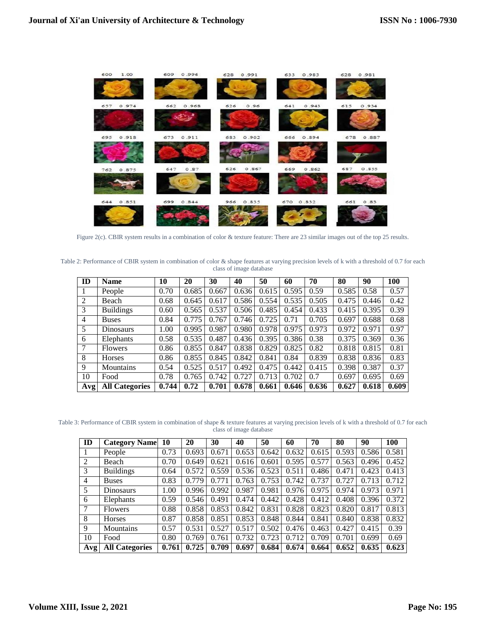

Figure 2(c). CBIR system results in a combination of color & texture feature: There are 23 similar images out of the top 25 results.

Table 2: Performance of CBIR system in combination of color & shape features at varying precision levels of k with a threshold of 0.7 for each class of image database

| ID     | <b>Name</b>           | 10    | 20    | 30    | 40    | 50    | 60    | 70    | 80    | 90    | 100   |
|--------|-----------------------|-------|-------|-------|-------|-------|-------|-------|-------|-------|-------|
|        | People                | 0.70  | 0.685 | 0.667 | 0.636 | 0.615 | 0.595 | 0.59  | 0.585 | 0.58  | 0.57  |
| 2      | Beach                 | 0.68  | 0.645 | 0.617 | 0.586 | 0.554 | 0.535 | 0.505 | 0.475 | 0.446 | 0.42  |
| 3      | <b>Buildings</b>      | 0.60  | 0.565 | 0.537 | 0.506 | 0.485 | 0.454 | 0.433 | 0.415 | 0.395 | 0.39  |
| 4      | <b>Buses</b>          | 0.84  | 0.775 | 0.767 | 0.746 | 0.725 | 0.71  | 0.705 | 0.697 | 0.688 | 0.68  |
| 5      | <b>Dinosaurs</b>      | 1.00  | 0.995 | 0.987 | 0.980 | 0.978 | 0.975 | 0.973 | 0.972 | 0.971 | 0.97  |
| 6      | Elephants             | 0.58  | 0.535 | 0.487 | 0.436 | 0.395 | 0.386 | 0.38  | 0.375 | 0.369 | 0.36  |
| $\tau$ | <b>Flowers</b>        | 0.86  | 0.855 | 0.847 | 0.838 | 0.829 | 0.825 | 0.82  | 0.818 | 0.815 | 0.81  |
| 8      | Horses                | 0.86  | 0.855 | 0.845 | 0.842 | 0.841 | 0.84  | 0.839 | 0.838 | 0.836 | 0.83  |
| 9      | Mountains             | 0.54  | 0.525 | 0.517 | 0.492 | 0.475 | 0.442 | 0.415 | 0.398 | 0.387 | 0.37  |
| 10     | Food                  | 0.78  | 0.765 | 0.742 | 0.727 | 0.713 | 0.702 | 0.7   | 0.697 | 0.695 | 0.69  |
| Avg    | <b>All Categories</b> | 0.744 | 0.72  | 0.701 | 0.678 | 0.661 | 0.646 | 0.636 | 0.627 | 0.618 | 0.609 |

Table 3: Performance of CBIR system in combination of shape & texture features at varying precision levels of k with a threshold of 0.7 for each class of image database

| ID  | <b>Category Name</b>  | 10    | 20    | 30    | 40    | 50    | 60    | 70    | 80    | 90    | 100   |
|-----|-----------------------|-------|-------|-------|-------|-------|-------|-------|-------|-------|-------|
|     | People                | 0.73  | 0.693 | 0.671 | 0.653 | 0.642 | 0.632 | 0.615 | 0.593 | 0.586 | 0.581 |
| 2   | Beach                 | 0.70  | 0.649 | 0.621 | 0.616 | 0.601 | 0.595 | 0.577 | 0.563 | 0.496 | 0.452 |
| 3   | <b>Buildings</b>      | 0.64  | 0.572 | 0.559 | 0.536 | 0.523 | 0.511 | 0.486 | 0.471 | 0.423 | 0.413 |
| 4   | <b>Buses</b>          | 0.83  | 0.779 | 0.771 | 0.763 | 0.753 | 0.742 | 0.737 | 0.727 | 0.713 | 0.712 |
| 5   | <b>Dinosaurs</b>      | 1.00  | 0.996 | 0.992 | 0.987 | 0.981 | 0.976 | 0.975 | 0.974 | 0.973 | 0.971 |
| 6   | Elephants             | 0.59  | 0.546 | 0.491 | 0.474 | 0.442 | 0.428 | 0.412 | 0.408 | 0.396 | 0.372 |
|     | <b>Flowers</b>        | 0.88  | 0.858 | 0.853 | 0.842 | 0.831 | 0.828 | 0.823 | 0.820 | 0.817 | 0.813 |
| 8   | Horses                | 0.87  | 0.858 | 0.851 | 0.853 | 0.848 | 0.844 | 0.841 | 0.840 | 0.838 | 0.832 |
| 9   | Mountains             | 0.57  | 0.531 | 0.527 | 0.517 | 0.502 | 0.476 | 0.463 | 0.427 | 0.415 | 0.39  |
| 10  | Food                  | 0.80  | 0.769 | 0.761 | 0.732 | 0.723 | 0.712 | 0.709 | 0.701 | 0.699 | 0.69  |
| Avg | <b>All Categories</b> | 0.761 | 0.725 | 0.709 | 0.697 | 0.684 | 0.674 | 0.664 | 0.652 | 0.635 | 0.623 |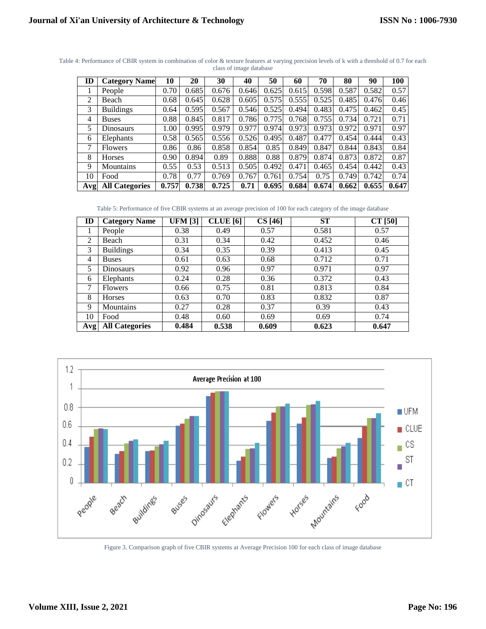| ID  | <b>Category Name</b>  | 10    | 20    | 30    | 40    | 50    | 60    | 70    | 80    | 90    | 100   |
|-----|-----------------------|-------|-------|-------|-------|-------|-------|-------|-------|-------|-------|
|     | People                | 0.70  | 0.685 | 0.676 | 0.646 | 0.625 | 0.615 | 0.598 | 0.587 | 0.582 | 0.57  |
| 2   | Beach                 | 0.68  | 0.645 | 0.628 | 0.605 | 0.575 | 0.555 | 0.525 | 0.485 | 0.476 | 0.46  |
| 3   | <b>Buildings</b>      | 0.64  | 0.595 | 0.567 | 0.546 | 0.525 | 0.494 | 0.483 | 0.475 | 0.462 | 0.45  |
| 4   | <b>Buses</b>          | 0.88  | 0.845 | 0.817 | 0.786 | 0.775 | 0.768 | 0.755 | 0.734 | 0.721 | 0.71  |
| 5   | Dinosaurs             | 1.00  | 0.995 | 0.979 | 0.977 | 0.974 | 0.973 | 0.973 | 0.972 | 0.971 | 0.97  |
| 6   | Elephants             | 0.58  | 0.565 | 0.556 | 0.526 | 0.495 | 0.487 | 0.477 | 0.454 | 0.444 | 0.43  |
| 7   | <b>Flowers</b>        | 0.86  | 0.86  | 0.858 | 0.854 | 0.85  | 0.849 | 0.847 | 0.844 | 0.843 | 0.84  |
| 8   | Horses                | 0.90  | 0.894 | 0.89  | 0.888 | 0.88  | 0.879 | 0.874 | 0.873 | 0.872 | 0.87  |
| 9   | Mountains             | 0.55  | 0.53  | 0.513 | 0.505 | 0.492 | 0.471 | 0.465 | 0.454 | 0.442 | 0.43  |
| 10  | Food                  | 0.78  | 0.77  | 0.769 | 0.767 | 0.761 | 0.754 | 0.75  | 0.749 | 0.742 | 0.74  |
| Avg | <b>All Categories</b> | 0.757 | 0.738 | 0.725 | 0.71  | 0.695 | 0.684 | 0.674 | 0.662 | 0.655 | 0.647 |

Table 4: Performance of CBIR system in combination of color & texture features at varying precision levels of k with a threshold of 0.7 for each class of image database

Table 5: Performance of five CBIR systems at an average precision of 100 for each category of the image database

| ID  | <b>Category Name</b>  | <b>UFM</b> [3] | <b>CLUE</b> [6] | CS[46] | <b>ST</b> | $CT$ [50] |
|-----|-----------------------|----------------|-----------------|--------|-----------|-----------|
|     | People                | 0.38           | 0.49            | 0.57   | 0.581     | 0.57      |
| 2   | Beach                 | 0.31           | 0.34            | 0.42   | 0.452     | 0.46      |
| 3   | <b>Buildings</b>      | 0.34           | 0.35            | 0.39   | 0.413     | 0.45      |
| 4   | <b>Buses</b>          | 0.61           | 0.63            | 0.68   | 0.712     | 0.71      |
| 5   | <b>Dinosaurs</b>      | 0.92           | 0.96            | 0.97   | 0.971     | 0.97      |
| 6   | Elephants             | 0.24           | 0.28            | 0.36   | 0.372     | 0.43      |
| 7   | Flowers               | 0.66           | 0.75            | 0.81   | 0.813     | 0.84      |
| 8   | <b>Horses</b>         | 0.63           | 0.70            | 0.83   | 0.832     | 0.87      |
| 9   | <b>Mountains</b>      | 0.27           | 0.28            | 0.37   | 0.39      | 0.43      |
| 10  | Food                  | 0.48           | 0.60            | 0.69   | 0.69      | 0.74      |
| Avg | <b>All Categories</b> | 0.484          | 0.538           | 0.609  | 0.623     | 0.647     |



Figure 3. Comparison graph of five CBIR systems at Average Precision 100 for each class of image database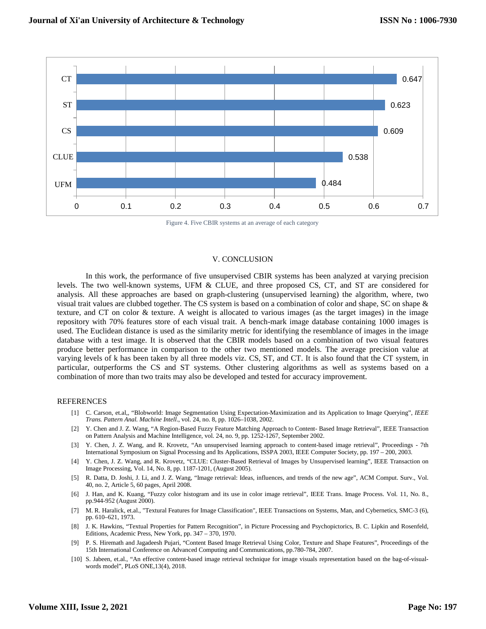

Figure 4. Five CBIR systems at an average of each category

## V. CONCLUSION

In this work, the performance of five unsupervised CBIR systems has been analyzed at varying precision levels. The two well-known systems, UFM & CLUE, and three proposed CS, CT, and ST are considered for analysis. All these approaches are based on graph-clustering (unsupervised learning) the algorithm, where, two visual trait values are clubbed together. The CS system is based on a combination of color and shape, SC on shape & texture, and CT on color & texture. A weight is allocated to various images (as the target images) in the image repository with 70% features store of each visual trait. A bench-mark image database containing 1000 images is used. The Euclidean distance is used as the similarity metric for identifying the resemblance of images in the image database with a test image. It is observed that the CBIR models based on a combination of two visual features produce better performance in comparison to the other two mentioned models. The average precision value at varying levels of k has been taken by all three models viz. CS, ST, and CT. It is also found that the CT system, in particular, outperforms the CS and ST systems. Other clustering algorithms as well as systems based on a combination of more than two traits may also be developed and tested for accuracy improvement.

# **REFERENCES**

- [1] C. Carson, et.al,, "Blobworld: Image Segmentation Using Expectation-Maximization and its Application to Image Querying", *IEEE Trans. Pattern Anal. Machine Intell*., vol. 24, no. 8, pp. 1026–1038, 2002.
- [2] Y. Chen and J. Z. Wang, "A Region-Based Fuzzy Feature Matching Approach to Content- Based Image Retrieval", IEEE Transaction on Pattern Analysis and Machine Intelligence, vol. 24, no. 9, pp. 1252-1267, September 2002.
- [3] Y. Chen, J. Z. Wang, and R. Krovetz, "An unsupervised learning approach to content-based image retrieval", Proceedings 7th International Symposium on Signal Processing and Its Applications, ISSPA 2003, IEEE Computer Society, pp. 197 – 200, 2003.
- [4] Y. Chen, J. Z. Wang, and R. Krovetz, "CLUE: Cluster-Based Retrieval of Images by Unsupervised learning", IEEE Transaction on Image Processing, Vol. 14, No. 8, pp. 1187-1201, (August 2005).
- [5] R. Datta, D. Joshi, J. Li, and J. Z. Wang, "Image retrieval: Ideas, influences, and trends of the new age", ACM Comput. Surv., Vol. 40, no. 2, Article 5, 60 pages, April 2008.
- [6] J. Han, and K. Kuang, "Fuzzy color histogram and its use in color image retrieval", IEEE Trans. Image Process. Vol. 11, No. 8., pp.944-952 (August 2000).
- [7] M. R. Haralick, et.al., "Textural Features for Image Classification", IEEE Transactions on Systems, Man, and Cybernetics, SMC-3 (6), pp. 610–621, 1973.
- [8] J. K. Hawkins, "Textual Properties for Pattern Recognition", in Picture Processing and Psychopictorics, B. C. Lipkin and Rosenfeld, Editions, Academic Press, New York, pp. 347 – 370, 1970.
- [9] P. S. Hiremath and Jagadeesh Pujari, "Content Based Image Retrieval Using Color, Texture and Shape Features", Proceedings of the 15th International Conference on Advanced Computing and Communications, pp.780-784, 2007.
- [10] S. Jabeen, et.al., "An effective content-based image retrieval technique for image visuals representation based on the bag-of-visualwords model", PLoS ONE,13(4), 2018.